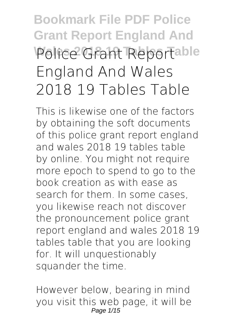# **Bookmark File PDF Police Grant Report England And Wales 2018 19 Tables Table Police Grant Report England And Wales 2018 19 Tables Table**

This is likewise one of the factors by obtaining the soft documents of this **police grant report england and wales 2018 19 tables table** by online. You might not require more epoch to spend to go to the book creation as with ease as search for them. In some cases, you likewise reach not discover the pronouncement police grant report england and wales 2018 19 tables table that you are looking for. It will unquestionably squander the time.

However below, bearing in mind you visit this web page, it will be Page 1/15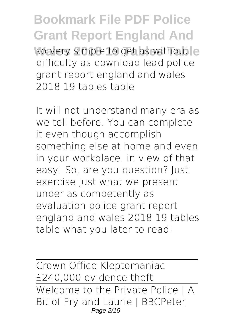**Bookmark File PDF Police Grant Report England And** so very simple to get as without e difficulty as download lead police grant report england and wales 2018 19 tables table

It will not understand many era as we tell before. You can complete it even though accomplish something else at home and even in your workplace. in view of that easy! So, are you question? Just exercise just what we present under as competently as evaluation **police grant report england and wales 2018 19 tables table** what you later to read!

Crown Office Kleptomaniac £240,000 evidence theft Welcome to the Private Police | A Bit of Fry and Laurie | BBCPeter Page 2/15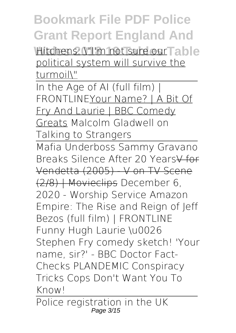Hitchens: \"I'm not sure our Table political system will survive the turmoil\"

In the Age of AI (full film) | FRONTLINEYour Name? | A Bit Of Fry And Laurie | BBC Comedy Greats *Malcolm Gladwell on Talking to Strangers*

Mafia Underboss Sammy Gravano Breaks Silence After 20 Years V for Vendetta (2005) - V on TV Scene (2/8) | Movieclips **December 6, 2020 - Worship Service** *Amazon Empire: The Rise and Reign of Jeff Bezos (full film) | FRONTLINE Funny Hugh Laurie \u0026 Stephen Fry comedy sketch! 'Your name, sir?' - BBC* Doctor Fact-Checks PLANDEMIC Conspiracy Tricks Cops Don't Want You To Know!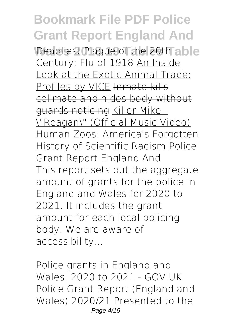Deadliest Plague of the 20th able Century: Flu of 1918 An Inside Look at the Exotic Animal Trade: Profiles by VICE Inmate kills cellmate and hides body without guards noticing Killer Mike - \"Reagan\" (Official Music Video) Human Zoos: America's Forgotten History of Scientific Racism **Police Grant Report England And** This report sets out the aggregate amount of grants for the police in England and Wales for 2020 to 2021. It includes the grant amount for each local policing body. We are aware of accessibility...

**Police grants in England and Wales: 2020 to 2021 - GOV.UK** Police Grant Report (England and Wales) 2020/21 Presented to the Page 4/15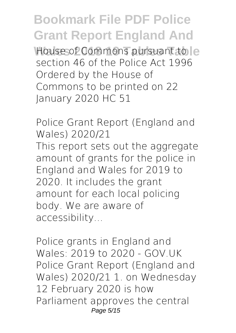House of Commons pursuant to le section 46 of the Police Act 1996 Ordered by the House of Commons to be printed on 22 January 2020 HC 51

**Police Grant Report (England and Wales) 2020/21**

This report sets out the aggregate amount of grants for the police in England and Wales for 2019 to 2020. It includes the grant amount for each local policing body. We are aware of accessibility...

**Police grants in England and Wales: 2019 to 2020 - GOV.UK** Police Grant Report (England and Wales) 2020/21 1. on Wednesday 12 February 2020 is how Parliament approves the central Page 5/15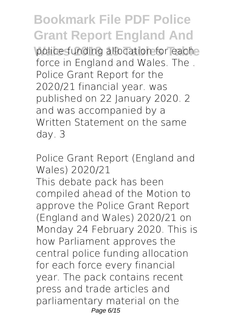police funding allocation for eache force in England and Wales. The . Police Grant Report for the 2020/21 financial year. was published on 22 January 2020. 2 and was accompanied by a Written Statement on the same day. 3

**Police Grant Report (England and Wales) 2020/21**

This debate pack has been compiled ahead of the Motion to approve the Police Grant Report (England and Wales) 2020/21 on Monday 24 February 2020. This is how Parliament approves the central police funding allocation for each force every financial year. The pack contains recent press and trade articles and parliamentary material on the Page 6/15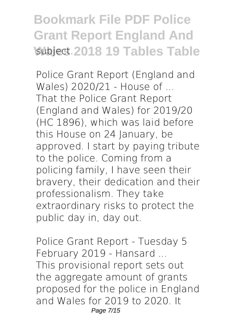#### **Bookmark File PDF Police Grant Report England And Wablect 2018 19 Tables Table**

**Police Grant Report (England and Wales) 2020/21 - House of ...** That the Police Grant Report (England and Wales) for 2019/20 (HC 1896), which was laid before this House on 24 January, be approved. I start by paying tribute to the police. Coming from a policing family, I have seen their bravery, their dedication and their professionalism. They take extraordinary risks to protect the public day in, day out.

**Police Grant Report - Tuesday 5 February 2019 - Hansard ...** This provisional report sets out the aggregate amount of grants proposed for the police in England and Wales for 2019 to 2020. It Page 7/15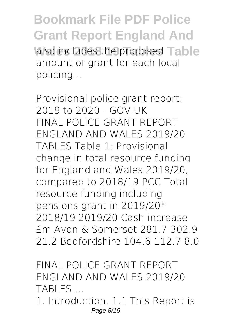**Bookmark File PDF Police Grant Report England And** also includes the proposed Table amount of grant for each local policing...

**Provisional police grant report: 2019 to 2020 - GOV.UK** FINAL POLICE GRANT REPORT ENGLAND AND WALES 2019/20 TABLES Table 1: Provisional change in total resource funding for England and Wales 2019/20, compared to 2018/19 PCC Total resource funding including pensions grant in 2019/20\* 2018/19 2019/20 Cash increase £m Avon & Somerset 281.7 302.9 21.2 Bedfordshire 104.6 112.7 8.0

**FINAL POLICE GRANT REPORT ENGLAND AND WALES 2019/20 TABLES ...**

1. Introduction. 1.1 This Report is Page 8/15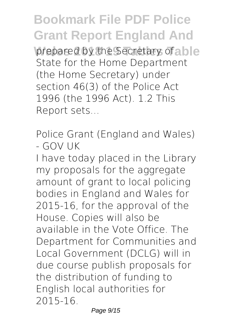**Bookmark File PDF Police Grant Report England And prepared by the Secretary of a ble** State for the Home Department (the Home Secretary) under section 46(3) of the Police Act 1996 (the 1996 Act). 1.2 This Report sets...

**Police Grant (England and Wales) - GOV UK**

I have today placed in the Library my proposals for the aggregate amount of grant to local policing bodies in England and Wales for 2015-16, for the approval of the House. Copies will also be available in the Vote Office. The Department for Communities and Local Government (DCLG) will in due course publish proposals for the distribution of funding to English local authorities for 2015-16.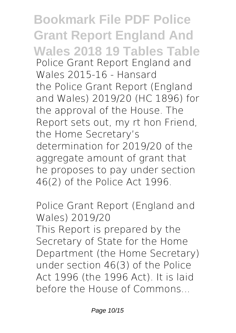**Bookmark File PDF Police Grant Report England And Wales 2018 19 Tables Table Police Grant Report England and Wales 2015-16 - Hansard** the Police Grant Report (England and Wales) 2019/20 (HC 1896) for the approval of the House. The Report sets out, my rt hon Friend, the Home Secretary's determination for 2019/20 of the aggregate amount of grant that he proposes to pay under section 46(2) of the Police Act 1996.

**Police Grant Report (England and Wales) 2019/20**

This Report is prepared by the Secretary of State for the Home Department (the Home Secretary) under section 46(3) of the Police Act 1996 (the 1996 Act). It is laid before the House of Commons...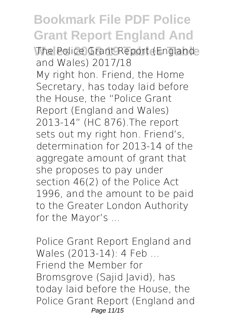**The Police Grant Report (Englande and Wales) 2017/18** My right hon. Friend, the Home Secretary, has today laid before the House, the "Police Grant Report (England and Wales) 2013-14" (HC 876).The report sets out my right hon. Friend's, determination for 2013-14 of the aggregate amount of grant that she proposes to pay under section 46(2) of the Police Act 1996, and the amount to be paid to the Greater London Authority for the Mayor's ...

**Police Grant Report England and Wales (2013-14): 4 Feb ...** Friend the Member for Bromsgrove (Sajid Javid), has today laid before the House, the Police Grant Report (England and Page 11/15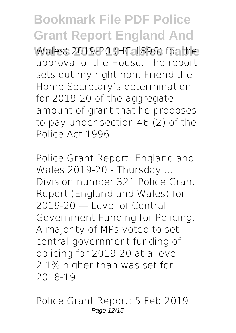Wales) 2019-20 (HC 1896) for the approval of the House. The report sets out my right hon. Friend the Home Secretary's determination for 2019-20 of the aggregate amount of grant that he proposes to pay under section 46 (2) of the Police Act 1996.

**Police Grant Report: England and Wales 2019-20 - Thursday ...** Division number 321 Police Grant Report (England and Wales) for 2019-20 — Level of Central Government Funding for Policing. A majority of MPs voted to set central government funding of policing for 2019-20 at a level 2.1% higher than was set for 2018-19.

**Police Grant Report: 5 Feb 2019:** Page 12/15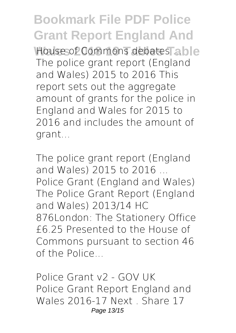**Bookmark File PDF Police Grant Report England And House of Commons debates able** The police grant report (England and Wales) 2015 to 2016 This report sets out the aggregate amount of grants for the police in England and Wales for 2015 to 2016 and includes the amount of grant...

**The police grant report (England and Wales) 2015 to 2016 ...** Police Grant (England and Wales) The Police Grant Report (England and Wales) 2013/14 HC 876London: The Stationery Office £6.25 Presented to the House of Commons pursuant to section 46 of the Police...

**Police Grant v2 - GOV UK** Police Grant Report England and Wales 2016-17 Next . Share 17 Page 13/15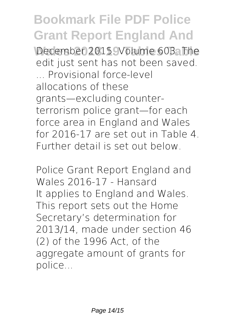December 2015. Volume 603. The edit just sent has not been saved. ... Provisional force-level allocations of these grants—excluding counterterrorism police grant—for each force area in England and Wales for 2016-17 are set out in Table 4. Further detail is set out below.

**Police Grant Report England and Wales 2016-17 - Hansard** It applies to England and Wales. This report sets out the Home Secretary's determination for 2013/14, made under section 46 (2) of the 1996 Act, of the aggregate amount of grants for police...